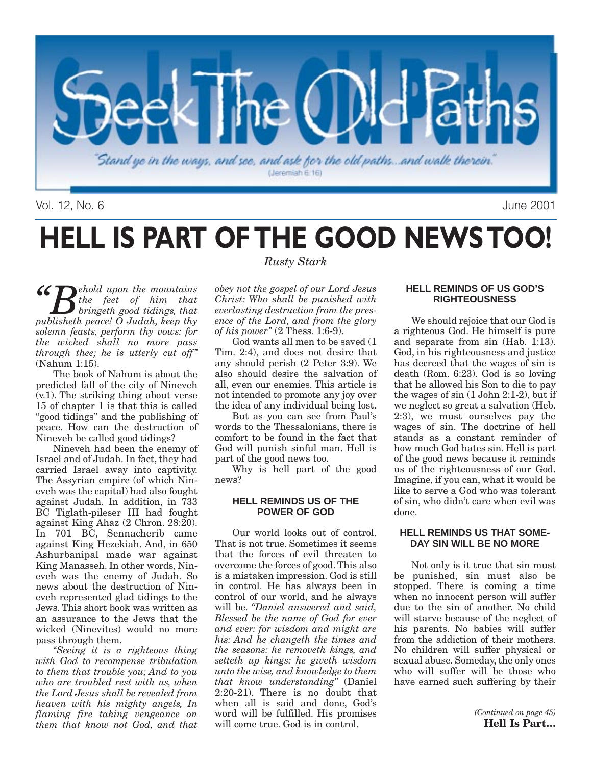

Vol. 12, No. 6 June 2001

### **HELL IS PART OF THE GOOD NEWS TOO!**  *Rusty Stark*

**"Completed** a state of the mountains<br>bringeth good tidings, that<br>muhlisheth negate O Judah keep thy *the feet of him that bringeth good tidings, that publisheth peace! O Judah, keep thy solemn feasts, perform thy vows: for the wicked shall no more pass through thee; he is utterly cut off"* (Nahum 1:15).

The book of Nahum is about the predicted fall of the city of Nineveh (v.1). The striking thing about verse 15 of chapter 1 is that this is called "good tidings" and the publishing of peace. How can the destruction of Nineveh be called good tidings?

Nineveh had been the enemy of Israel and of Judah. In fact, they had carried Israel away into captivity. The Assyrian empire (of which Nineveh was the capital) had also fought against Judah. In addition, in 733 BC Tiglath-pileser III had fought against King Ahaz (2 Chron. 28:20). In 701 BC, Sennacherib came against King Hezekiah. And, in 650 Ashurbanipal made war against King Manasseh. In other words, Nineveh was the enemy of Judah. So news about the destruction of Nineveh represented glad tidings to the Jews. This short book was written as an assurance to the Jews that the wicked (Ninevites) would no more pass through them.

*"Seeing it is a righteous thing with God to recompense tribulation to them that trouble you; And to you who are troubled rest with us, when the Lord Jesus shall be revealed from heaven with his mighty angels, In flaming fire taking vengeance on them that know not God, and that*

*obey not the gospel of our Lord Jesus Christ: Who shall be punished with everlasting destruction from the presence of the Lord, and from the glory of his power"* (2 Thess. 1:6-9).

God wants all men to be saved (1 Tim. 2:4), and does not desire that any should perish (2 Peter 3:9). We also should desire the salvation of all, even our enemies. This article is not intended to promote any joy over the idea of any individual being lost.

But as you can see from Paul's words to the Thessalonians, there is comfort to be found in the fact that God will punish sinful man. Hell is part of the good news too.

Why is hell part of the good news?

### **HELL REMINDS US OF THE POWER OF GOD**

Our world looks out of control. That is not true. Sometimes it seems that the forces of evil threaten to overcome the forces of good. This also is a mistaken impression. God is still in control. He has always been in control of our world, and he always will be. *"Daniel answered and said, Blessed be the name of God for ever and ever: for wisdom and might are his: And he changeth the times and the seasons: he removeth kings, and setteth up kings: he giveth wisdom unto the wise, and knowledge to them that know understanding"* (Daniel 2:20-21). There is no doubt that when all is said and done, God's word will be fulfilled. His promises will come true. God is in control.

### **HELL REMINDS OF US GOD'S RIGHTEOUSNESS**

We should rejoice that our God is a righteous God. He himself is pure and separate from sin (Hab. 1:13). God, in his righteousness and justice has decreed that the wages of sin is death (Rom. 6:23). God is so loving that he allowed his Son to die to pay the wages of sin (1 John 2:1-2), but if we neglect so great a salvation (Heb. 2:3), we must ourselves pay the wages of sin. The doctrine of hell stands as a constant reminder of how much God hates sin. Hell is part of the good news because it reminds us of the righteousness of our God. Imagine, if you can, what it would be like to serve a God who was tolerant of sin, who didn't care when evil was done.

### **HELL REMINDS US THAT SOME-DAY SIN WILL BE NO MORE**

Not only is it true that sin must be punished, sin must also be stopped. There is coming a time when no innocent person will suffer due to the sin of another. No child will starve because of the neglect of his parents. No babies will suffer from the addiction of their mothers. No children will suffer physical or sexual abuse. Someday, the only ones who will suffer will be those who have earned such suffering by their

> *(Continued on page 45)* **Hell Is Part…**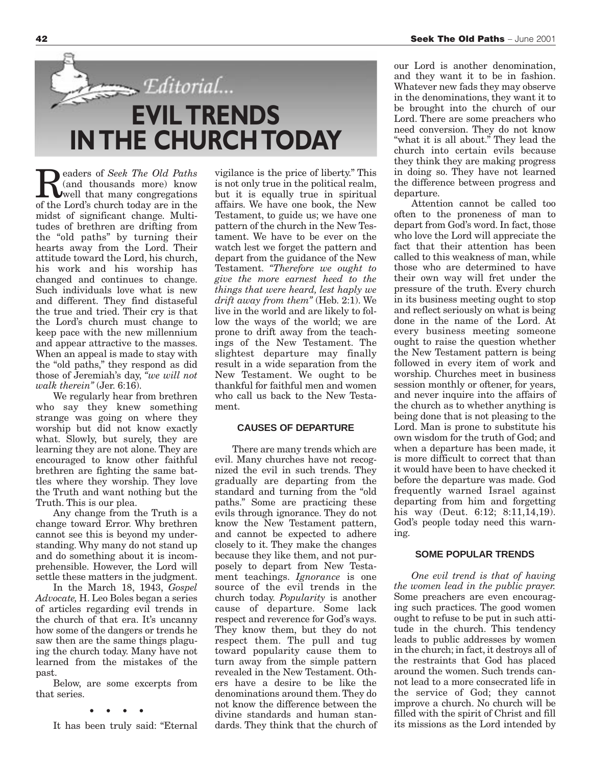

**Readers of** *Seek The Old Paths*<br>
well that many congregations<br>
of the Lord's church today are in the (and thousands more) know of the Lord's church today are in the midst of significant change. Multitudes of brethren are drifting from the "old paths" by turning their hearts away from the Lord. Their attitude toward the Lord, his church, his work and his worship has changed and continues to change. Such individuals love what is new and different. They find distaseful the true and tried. Their cry is that the Lord's church must change to keep pace with the new millennium and appear attractive to the masses. When an appeal is made to stay with the "old paths," they respond as did those of Jeremiah's day, *"we will not walk therein"* (Jer. 6:16).

We regularly hear from brethren who say they knew something strange was going on where they worship but did not know exactly what. Slowly, but surely, they are learning they are not alone. They are encouraged to know other faithful brethren are fighting the same battles where they worship. They love the Truth and want nothing but the Truth. This is our plea.

Any change from the Truth is a change toward Error. Why brethren cannot see this is beyond my understanding. Why many do not stand up and do something about it is incomprehensible. However, the Lord will settle these matters in the judgment.

In the March 18, 1943, *Gospel Advocate,* H. Leo Boles began a series of articles regarding evil trends in the church of that era. It's uncanny how some of the dangers or trends he saw then are the same things plaguing the church today. Many have not learned from the mistakes of the past.

Below, are some excerpts from that series.

**••••**

It has been truly said: "Eternal

vigilance is the price of liberty." This is not only true in the political realm, but it is equally true in spiritual affairs. We have one book, the New Testament, to guide us; we have one pattern of the church in the New Testament. We have to be ever on the watch lest we forget the pattern and depart from the guidance of the New Testament. *"Therefore we ought to give the more earnest heed to the things that were heard, lest haply we drift away from them"* (Heb. 2:1). We live in the world and are likely to follow the ways of the world; we are prone to drift away from the teachings of the New Testament. The slightest departure may finally result in a wide separation from the New Testament. We ought to be thankful for faithful men and women who call us back to the New Testament.

### **CAUSES OF DEPARTURE**

There are many trends which are evil. Many churches have not recognized the evil in such trends. They gradually are departing from the standard and turning from the "old paths." Some are practicing these evils through ignorance. They do not know the New Testament pattern, and cannot be expected to adhere closely to it. They make the changes because they like them, and not purposely to depart from New Testament teachings. *Ignorance* is one source of the evil trends in the church today. *Popularity* is another cause of departure. Some lack respect and reverence for God's ways. They know them, but they do not respect them. The pull and tug toward popularity cause them to turn away from the simple pattern revealed in the New Testament. Others have a desire to be like the denominations around them. They do not know the difference between the divine standards and human standards. They think that the church of

our Lord is another denomination, and they want it to be in fashion. Whatever new fads they may observe in the denominations, they want it to be brought into the church of our Lord. There are some preachers who need conversion. They do not know "what it is all about." They lead the church into certain evils because they think they are making progress in doing so. They have not learned the difference between progress and departure.

Attention cannot be called too often to the proneness of man to depart from God's word. In fact, those who love the Lord will appreciate the fact that their attention has been called to this weakness of man, while those who are determined to have their own way will fret under the pressure of the truth. Every church in its business meeting ought to stop and reflect seriously on what is being done in the name of the Lord. At every business meeting someone ought to raise the question whether the New Testament pattern is being followed in every item of work and worship. Churches meet in business session monthly or oftener, for years, and never inquire into the affairs of the church as to whether anything is being done that is not pleasing to the Lord. Man is prone to substitute his own wisdom for the truth of God; and when a departure has been made, it is more difficult to correct that than it would have been to have checked it before the departure was made. God frequently warned Israel against departing from him and forgetting his way (Deut. 6:12; 8:11,14,19). God's people today need this warning.

### **SOME POPULAR TRENDS**

*One evil trend is that of having the women lead in the public prayer.* Some preachers are even encouraging such practices. The good women ought to refuse to be put in such attitude in the church. This tendency leads to public addresses by women in the church; in fact, it destroys all of the restraints that God has placed around the women. Such trends cannot lead to a more consecrated life in the service of God; they cannot improve a church. No church will be filled with the spirit of Christ and fill its missions as the Lord intended by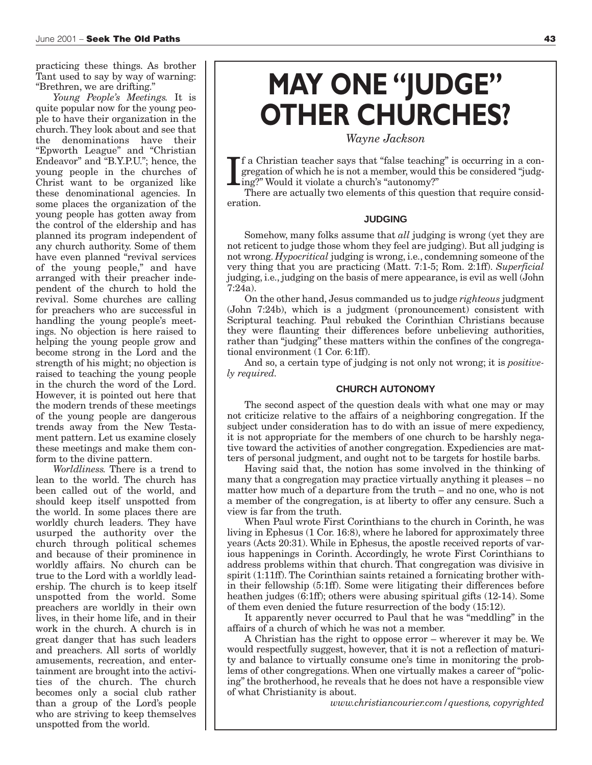practicing these things. As brother Tant used to say by way of warning: "Brethren, we are drifting."

*Young People's Meetings.* It is quite popular now for the young people to have their organization in the church. They look about and see that the denominations have their "Epworth League" and "Christian Endeavor" and "B.Y.P.U."; hence, the young people in the churches of Christ want to be organized like these denominational agencies. In some places the organization of the young people has gotten away from the control of the eldership and has planned its program independent of any church authority. Some of them have even planned "revival services of the young people," and have arranged with their preacher independent of the church to hold the revival. Some churches are calling for preachers who are successful in handling the young people's meetings. No objection is here raised to helping the young people grow and become strong in the Lord and the strength of his might; no objection is raised to teaching the young people in the church the word of the Lord. However, it is pointed out here that the modern trends of these meetings of the young people are dangerous trends away from the New Testament pattern. Let us examine closely these meetings and make them conform to the divine pattern.

*Worldliness.* There is a trend to lean to the world. The church has been called out of the world, and should keep itself unspotted from the world. In some places there are worldly church leaders. They have usurped the authority over the church through political schemes and because of their prominence in worldly affairs. No church can be true to the Lord with a worldly leadership. The church is to keep itself unspotted from the world. Some preachers are worldly in their own lives, in their home life, and in their work in the church. A church is in great danger that has such leaders and preachers. All sorts of worldly amusements, recreation, and entertainment are brought into the activities of the church. The church becomes only a social club rather than a group of the Lord's people who are striving to keep themselves unspotted from the world.

## **MAY ONE "JUDGE" OTHER CHURCHES?**

### *Wayne Jackson*

I f a Christian teacher says that "false teaching" is occurring in a congregation of which he is not a member, would this be considered "judging?" Would it violate a church's "autonomy?"

There are actually two elements of this question that require consideration.

#### **JUDGING**

Somehow, many folks assume that *all* judging is wrong (yet they are not reticent to judge those whom they feel are judging). But all judging is not wrong. *Hypocritical* judging is wrong, i.e., condemning someone of the very thing that you are practicing (Matt. 7:1-5; Rom. 2:1ff). *Superficial* judging, i.e., judging on the basis of mere appearance, is evil as well (John 7:24a).

On the other hand, Jesus commanded us to judge *righteous* judgment (John 7:24b), which is a judgment (pronouncement) consistent with Scriptural teaching. Paul rebuked the Corinthian Christians because they were flaunting their differences before unbelieving authorities, rather than "judging" these matters within the confines of the congregational environment (1 Cor. 6:1ff).

And so, a certain type of judging is not only not wrong; it is *positively required.*

### **CHURCH AUTONOMY**

The second aspect of the question deals with what one may or may not criticize relative to the affairs of a neighboring congregation. If the subject under consideration has to do with an issue of mere expediency, it is not appropriate for the members of one church to be harshly negative toward the activities of another congregation. Expediencies are matters of personal judgment, and ought not to be targets for hostile barbs.

Having said that, the notion has some involved in the thinking of many that a congregation may practice virtually anything it pleases – no matter how much of a departure from the truth – and no one, who is not a member of the congregation, is at liberty to offer any censure. Such a view is far from the truth.

When Paul wrote First Corinthians to the church in Corinth, he was living in Ephesus (1 Cor. 16:8), where he labored for approximately three years (Acts 20:31). While in Ephesus, the apostle received reports of various happenings in Corinth. Accordingly, he wrote First Corinthians to address problems within that church. That congregation was divisive in spirit (1:11ff). The Corinthian saints retained a fornicating brother within their fellowship (5:1ff). Some were litigating their differences before heathen judges (6:1ff); others were abusing spiritual gifts (12-14). Some of them even denied the future resurrection of the body (15:12).

It apparently never occurred to Paul that he was "meddling" in the affairs of a church of which he was not a member.

A Christian has the right to oppose error – wherever it may be. We would respectfully suggest, however, that it is not a reflection of maturity and balance to virtually consume one's time in monitoring the problems of other congregations. When one virtually makes a career of "policing" the brotherhood, he reveals that he does not have a responsible view of what Christianity is about.

*www.christiancourier.com/questions, copyrighted*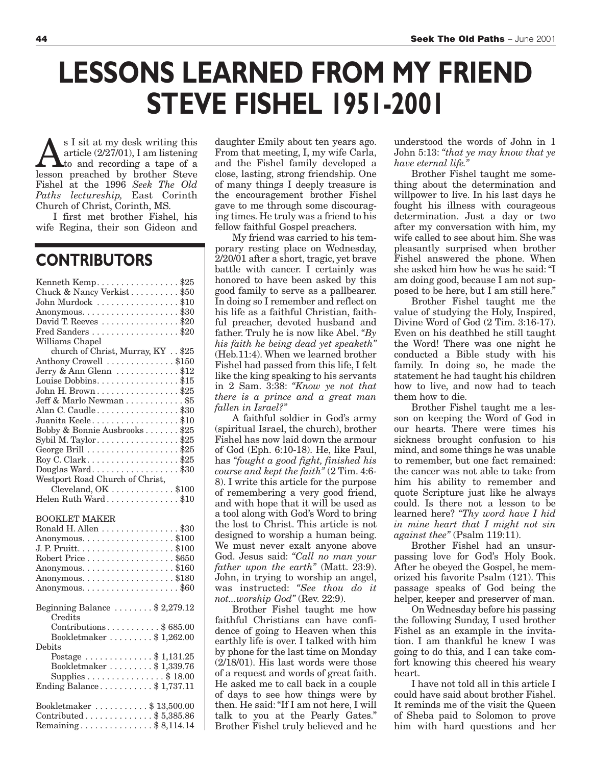## **LESSONS LEARNED FROM MY FRIEND STEVE FISHEL 1951-2001**

 $\sum_{\text{total}}$  s I sit at my desk writing this<br>to and recording a tape of a<br>lesson preached by brother Steve article (2/27/01), I am listening lesson preached by brother Steve Fishel at the 1996 *Seek The Old Paths lectureship,* East Corinth Church of Christ, Corinth, MS.

I first met brother Fishel, his wife Regina, their son Gideon and

### **CONTRIBUTORS**

| Kenneth Kemp\$25                                                     |
|----------------------------------------------------------------------|
| Chuck & Nancy Verkist\$50                                            |
| John Murdock \$10                                                    |
|                                                                      |
| David T. Reeves \$20                                                 |
| Fred Sanders \$20                                                    |
| Williams Chapel                                                      |
| church of Christ, Murray, KY \$25                                    |
| Anthony Crowell \$150                                                |
| Jerry & Ann Glenn $\dots\dots\dots\dots$ \$12                        |
| Louise Dobbins\$15                                                   |
| John H. Brown\$25                                                    |
| Jeff & Marlo Newman \$5                                              |
| Alan C. Caudle\$30                                                   |
| Juanita Keele\$10                                                    |
| Bobby & Bonnie Ausbrooks \$25                                        |
| Sybil M. Taylor. \$25                                                |
| George Brill \$25                                                    |
| Roy C. Clark\$25                                                     |
| Douglas Ward\$30                                                     |
|                                                                      |
| Westport Road Church of Christ,<br>Cleveland, OK \$100               |
| Helen Ruth Ward\$10                                                  |
|                                                                      |
|                                                                      |
|                                                                      |
| <b>BOOKLET MAKER</b>                                                 |
| Ronald H. Allen \$30                                                 |
| Anonymous. \$100                                                     |
|                                                                      |
| Robert Price \$650                                                   |
| Anonymous. $\dots \dots \dots \dots \dots \$ \$160                   |
| Anonymous. \$180                                                     |
|                                                                      |
|                                                                      |
| Beginning Balance $\dots \dots$ \$ 2,279.12                          |
| Credits                                                              |
| Contributions\$685.00                                                |
| Bookletmaker \$1,262.00                                              |
| Debits                                                               |
| Postage \$ 1,131.25                                                  |
| Bookletmaker $\dots \dots$ \$1,339.76                                |
| Supplies $\ldots \ldots \ldots \ldots$ \$ 18.00                      |
| Ending Balance $$1,737.11$                                           |
|                                                                      |
| Bookletmaker \$13,500.00                                             |
| Contributed $\ldots \ldots \ldots$ \$5,385.86<br>Remaining\$8,114.14 |

daughter Emily about ten years ago. From that meeting, I, my wife Carla, and the Fishel family developed a close, lasting, strong friendship. One of many things I deeply treasure is the encouragement brother Fishel gave to me through some discouraging times. He truly was a friend to his fellow faithful Gospel preachers.

My friend was carried to his temporary resting place on Wednesday, 2/20/01 after a short, tragic, yet brave battle with cancer. I certainly was honored to have been asked by this good family to serve as a pallbearer. In doing so I remember and reflect on his life as a faithful Christian, faithful preacher, devoted husband and father. Truly he is now like Abel. *"By his faith he being dead yet speaketh"* (Heb.11:4). When we learned brother Fishel had passed from this life, I felt like the king speaking to his servants in 2 Sam. 3:38: *"Know ye not that there is a prince and a great man fallen in Israel?"*

A faithful soldier in God's army (spiritual Israel, the church), brother Fishel has now laid down the armour of God (Eph. 6:10-18). He, like Paul, has *"fought a good fight, finished his course and kept the faith"* (2 Tim. 4:6- 8). I write this article for the purpose of remembering a very good friend, and with hope that it will be used as a tool along with God's Word to bring the lost to Christ. This article is not designed to worship a human being. We must never exalt anyone above God. Jesus said: *"Call no man your father upon the earth"* (Matt. 23:9). John, in trying to worship an angel, was instructed: *"See thou do it not...worship God"* (Rev. 22:9).

Brother Fishel taught me how faithful Christians can have confidence of going to Heaven when this earthly life is over. I talked with him by phone for the last time on Monday (2/18/01). His last words were those of a request and words of great faith. He asked me to call back in a couple of days to see how things were by then. He said: "If I am not here, I will talk to you at the Pearly Gates." Brother Fishel truly believed and he

understood the words of John in 1 John 5:13: *"that ye may know that ye have eternal life."*

Brother Fishel taught me something about the determination and willpower to live. In his last days he fought his illness with courageous determination. Just a day or two after my conversation with him, my wife called to see about him. She was pleasantly surprised when brother Fishel answered the phone. When she asked him how he was he said: "I am doing good, because I am not supposed to be here, but I am still here."

Brother Fishel taught me the value of studying the Holy, Inspired, Divine Word of God (2 Tim. 3:16-17). Even on his deathbed he still taught the Word! There was one night he conducted a Bible study with his family. In doing so, he made the statement he had taught his children how to live, and now had to teach them how to die.

Brother Fishel taught me a lesson on keeping the Word of God in our hearts. There were times his sickness brought confusion to his mind, and some things he was unable to remember, but one fact remained: the cancer was not able to take from him his ability to remember and quote Scripture just like he always could. Is there not a lesson to be learned here? *"Thy word have I hid in mine heart that I might not sin against thee"* (Psalm 119:11).

Brother Fishel had an unsurpassing love for God's Holy Book. After he obeyed the Gospel, he memorized his favorite Psalm (121). This passage speaks of God being the helper, keeper and preserver of man.

On Wednesday before his passing the following Sunday, I used brother Fishel as an example in the invitation. I am thankful he knew I was going to do this, and I can take comfort knowing this cheered his weary heart.

I have not told all in this article I could have said about brother Fishel. It reminds me of the visit the Queen of Sheba paid to Solomon to prove him with hard questions and her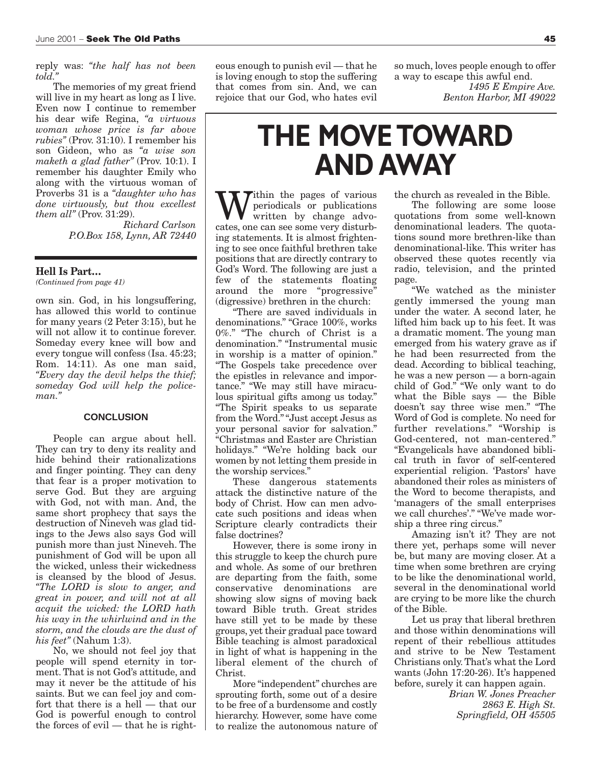reply was: *"the half has not been told."*

The memories of my great friend will live in my heart as long as I live. Even now I continue to remember his dear wife Regina, *"a virtuous woman whose price is far above rubies"* (Prov. 31:10). I remember his son Gideon, who as *"a wise son maketh a glad father"* (Prov. 10:1). I remember his daughter Emily who along with the virtuous woman of Proverbs 31 is a *"daughter who has done virtuously, but thou excellest them all"* (Prov. 31:29).

> *Richard Carlson P.O.Box 158, Lynn, AR 72440*

### **Hell Is Part…**

*(Continued from page 41)*

own sin. God, in his longsuffering, has allowed this world to continue for many years (2 Peter 3:15), but he will not allow it to continue forever. Someday every knee will bow and every tongue will confess (Isa. 45:23; Rom. 14:11). As one man said, *"Every day the devil helps the thief; someday God will help the policeman."*

### **CONCLUSION**

People can argue about hell. They can try to deny its reality and hide behind their rationalizations and finger pointing. They can deny that fear is a proper motivation to serve God. But they are arguing with God, not with man. And, the same short prophecy that says the destruction of Nineveh was glad tidings to the Jews also says God will punish more than just Nineveh. The punishment of God will be upon all the wicked, unless their wickedness is cleansed by the blood of Jesus. *"The LORD is slow to anger, and great in power, and will not at all acquit the wicked: the LORD hath his way in the whirlwind and in the storm, and the clouds are the dust of his feet"* (Nahum 1:3).

No, we should not feel joy that people will spend eternity in torment. That is not God's attitude, and may it never be the attitude of his saints. But we can feel joy and comfort that there is a hell — that our God is powerful enough to control the forces of evil — that he is righteous enough to punish evil — that he is loving enough to stop the suffering that comes from sin. And, we can rejoice that our God, who hates evil

so much, loves people enough to offer a way to escape this awful end.

*1495 E Empire Ave. Benton Harbor, MI 49022* 

## **THE MOVE TOWARD AND AWAY**

**Tithin** the pages of various periodicals or publications written by change advocates, one can see some very disturbing statements. It is almost frightening to see once faithful brethren take positions that are directly contrary to God's Word. The following are just a few of the statements floating around the more "progressive" (digressive) brethren in the church:

"There are saved individuals in denominations." "Grace 100%, works 0%." "The church of Christ is a denomination." "Instrumental music in worship is a matter of opinion." "The Gospels take precedence over the epistles in relevance and importance." "We may still have miraculous spiritual gifts among us today." "The Spirit speaks to us separate from the Word." "Just accept Jesus as your personal savior for salvation." "Christmas and Easter are Christian holidays." "We're holding back our women by not letting them preside in the worship services."

These dangerous statements attack the distinctive nature of the body of Christ. How can men advocate such positions and ideas when Scripture clearly contradicts their false doctrines?

However, there is some irony in this struggle to keep the church pure and whole. As some of our brethren are departing from the faith, some conservative denominations are showing slow signs of moving back toward Bible truth. Great strides have still yet to be made by these groups, yet their gradual pace toward Bible teaching is almost paradoxical in light of what is happening in the liberal element of the church of Christ.

More "independent" churches are sprouting forth, some out of a desire to be free of a burdensome and costly hierarchy. However, some have come to realize the autonomous nature of the church as revealed in the Bible.

The following are some loose quotations from some well-known denominational leaders. The quotations sound more brethren-like than denominational-like. This writer has observed these quotes recently via radio, television, and the printed page.

"We watched as the minister gently immersed the young man under the water. A second later, he lifted him back up to his feet. It was a dramatic moment. The young man emerged from his watery grave as if he had been resurrected from the dead. According to biblical teaching, he was a new person — a born-again child of God." "We only want to do what the Bible says — the Bible doesn't say three wise men." "The Word of God is complete. No need for further revelations." "Worship is God-centered, not man-centered." "Evangelicals have abandoned biblical truth in favor of self-centered experiential religion. 'Pastors' have abandoned their roles as ministers of the Word to become therapists, and 'managers of the small enterprises we call churches'." "We've made worship a three ring circus."

Amazing isn't it? They are not there yet, perhaps some will never be, but many are moving closer. At a time when some brethren are crying to be like the denominational world, several in the denominational world are crying to be more like the church of the Bible.

Let us pray that liberal brethren and those within denominations will repent of their rebellious attitudes and strive to be New Testament Christians only. That's what the Lord wants (John 17:20-26). It's happened before, surely it can happen again.

*Brian W. Jones Preacher 2863 E. High St. Springfield, OH 45505*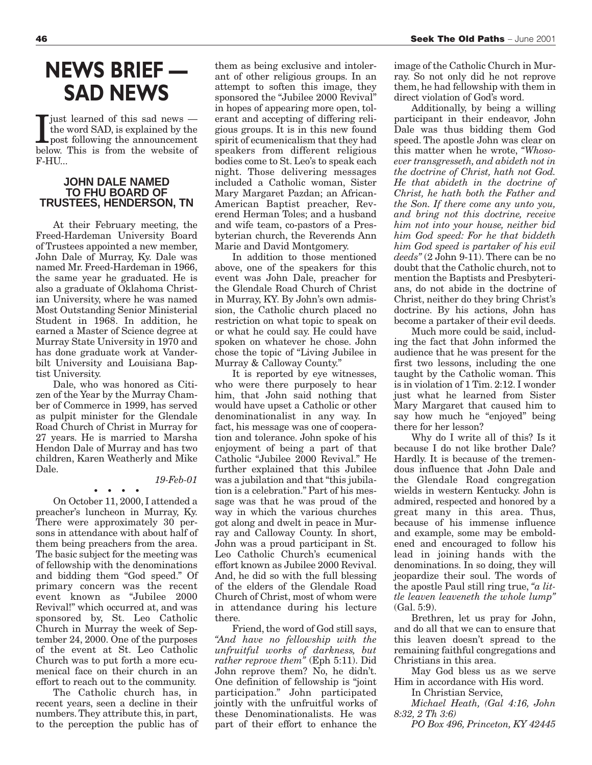### **NEWS BRIEF — SAD NEWS**

Usuan Line and of this sad news —<br>the word SAD, is explained by the<br>post following the announcement<br>helow This is from the website of iust learned of this sad news the word SAD, is explained by the below. This is from the website of F-HU...

### **JOHN DALE NAMED TO FHU BOARD OF TRUSTEES, HENDERSON, TN**

At their February meeting, the Freed-Hardeman University Board of Trustees appointed a new member, John Dale of Murray, Ky. Dale was named Mr. Freed-Hardeman in 1966, the same year he graduated. He is also a graduate of Oklahoma Christian University, where he was named Most Outstanding Senior Ministerial Student in 1968. In addition, he earned a Master of Science degree at Murray State University in 1970 and has done graduate work at Vanderbilt University and Louisiana Baptist University.

Dale, who was honored as Citizen of the Year by the Murray Chamber of Commerce in 1999, has served as pulpit minister for the Glendale Road Church of Christ in Murray for 27 years. He is married to Marsha Hendon Dale of Murray and has two children, Karen Weatherly and Mike Dale.

**••••**

#### *19-Feb-01*

On October 11, 2000, I attended a preacher's luncheon in Murray, Ky. There were approximately 30 persons in attendance with about half of them being preachers from the area. The basic subject for the meeting was of fellowship with the denominations and bidding them "God speed." Of primary concern was the recent event known as "Jubilee 2000 Revival!" which occurred at, and was sponsored by, St. Leo Catholic Church in Murray the week of September 24, 2000. One of the purposes of the event at St. Leo Catholic Church was to put forth a more ecumenical face on their church in an effort to reach out to the community.

The Catholic church has, in recent years, seen a decline in their numbers. They attribute this, in part, to the perception the public has of them as being exclusive and intolerant of other religious groups. In an attempt to soften this image, they sponsored the "Jubilee 2000 Revival" in hopes of appearing more open, tolerant and accepting of differing religious groups. It is in this new found spirit of ecumenicalism that they had speakers from different religious bodies come to St. Leo's to speak each night. Those delivering messages included a Catholic woman, Sister Mary Margaret Pazdan; an African-American Baptist preacher, Reverend Herman Toles; and a husband and wife team, co-pastors of a Presbyterian church, the Reverends Ann Marie and David Montgomery.

In addition to those mentioned above, one of the speakers for this event was John Dale, preacher for the Glendale Road Church of Christ in Murray, KY. By John's own admission, the Catholic church placed no restriction on what topic to speak on or what he could say. He could have spoken on whatever he chose. John chose the topic of "Living Jubilee in Murray & Calloway County."

It is reported by eye witnesses, who were there purposely to hear him, that John said nothing that would have upset a Catholic or other denominationalist in any way. In fact, his message was one of cooperation and tolerance. John spoke of his enjoyment of being a part of that Catholic "Jubilee 2000 Revival." He further explained that this Jubilee was a jubilation and that "this jubilation is a celebration." Part of his message was that he was proud of the way in which the various churches got along and dwelt in peace in Murray and Calloway County. In short, John was a proud participant in St. Leo Catholic Church's ecumenical effort known as Jubilee 2000 Revival. And, he did so with the full blessing of the elders of the Glendale Road Church of Christ, most of whom were in attendance during his lecture there.

Friend, the word of God still says, *"And have no fellowship with the unfruitful works of darkness, but rather reprove them"* (Eph 5:11). Did John reprove them? No, he didn't. One definition of fellowship is "joint participation." John participated jointly with the unfruitful works of these Denominationalists. He was part of their effort to enhance the

image of the Catholic Church in Murray. So not only did he not reprove them, he had fellowship with them in direct violation of God's word.

Additionally, by being a willing participant in their endeavor, John Dale was thus bidding them God speed. The apostle John was clear on this matter when he wrote, *"Whosoever transgresseth, and abideth not in the doctrine of Christ, hath not God. He that abideth in the doctrine of Christ, he hath both the Father and the Son. If there come any unto you, and bring not this doctrine, receive him not into your house, neither bid him God speed: For he that biddeth him God speed is partaker of his evil deeds"* (2 John 9-11). There can be no doubt that the Catholic church, not to mention the Baptists and Presbyterians, do not abide in the doctrine of Christ, neither do they bring Christ's doctrine. By his actions, John has become a partaker of their evil deeds.

Much more could be said, including the fact that John informed the audience that he was present for the first two lessons, including the one taught by the Catholic woman. This is in violation of 1 Tim. 2:12. I wonder just what he learned from Sister Mary Margaret that caused him to say how much he "enjoyed" being there for her lesson?

Why do I write all of this? Is it because I do not like brother Dale? Hardly. It is because of the tremendous influence that John Dale and the Glendale Road congregation wields in western Kentucky. John is admired, respected and honored by a great many in this area. Thus, because of his immense influence and example, some may be emboldened and encouraged to follow his lead in joining hands with the denominations. In so doing, they will jeopardize their soul. The words of the apostle Paul still ring true, *"a little leaven leaveneth the whole lump"* (Gal. 5:9).

Brethren, let us pray for John, and do all that we can to ensure that this leaven doesn't spread to the remaining faithful congregations and Christians in this area.

May God bless us as we serve Him in accordance with His word.

In Christian Service,

*Michael Heath, (Gal 4:16, John 8:32, 2 Th 3:6)* 

*PO Box 496, Princeton, KY 42445*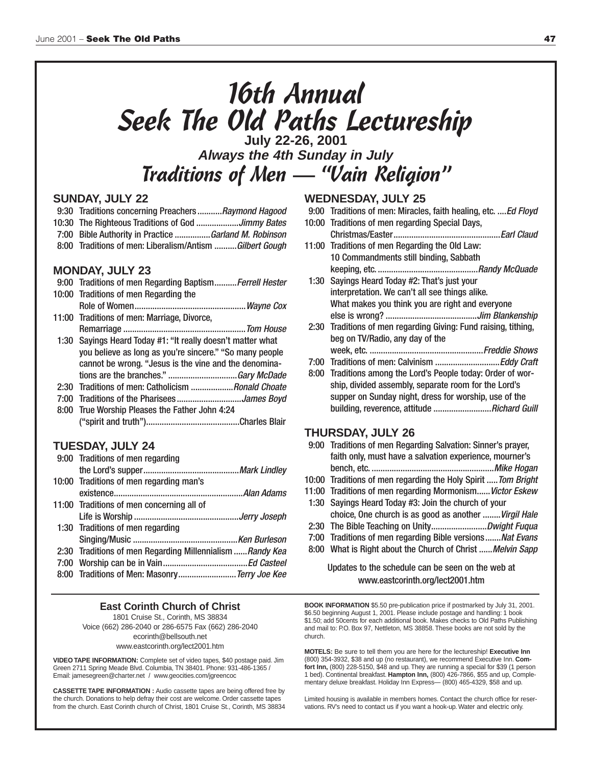# 16th Annual Seek The Old Paths Lectureship **July 22-26, 2001**

**Always the 4th Sunday in July** Traditions of Men — "Vain Religion"

### **SUNDAY, JULY 22**

- 9:30 Traditions concerning Preachers...........Raymond Hagood
- 10:30 The Righteous Traditions of God ...................Jimmy Bates
- 7:00 Bible Authority in Practice ................Garland M. Robinson
- 8:00 Traditions of men: Liberalism/Antism ..........Gilbert Gough

### **MONDAY, JULY 23**

| 9:00 Traditions of men Regarding Baptism Ferrell Hester     |  |
|-------------------------------------------------------------|--|
| 10:00 Traditions of men Regarding the                       |  |
|                                                             |  |
| 11:00 Traditions of men: Marriage, Divorce,                 |  |
|                                                             |  |
| 1:30 Sayings Heard Today #1: "It really doesn't matter what |  |
| you believe as long as you're sincere." "So many people     |  |
| cannot be wrong. "Jesus is the vine and the denomina-       |  |
|                                                             |  |
| 2:30 Traditions of men: Catholicism Ronald Choate           |  |
|                                                             |  |
| 8:00 True Worship Pleases the Father John 4:24              |  |
|                                                             |  |

### **TUESDAY, JULY 24**

| 9:00 Traditions of men regarding                         |  |
|----------------------------------------------------------|--|
|                                                          |  |
| 10:00 Traditions of men regarding man's                  |  |
|                                                          |  |
| 11:00 Traditions of men concerning all of                |  |
|                                                          |  |
| 1:30 Traditions of men regarding                         |  |
|                                                          |  |
| 2:30 Traditions of men Regarding Millennialism Randy Kea |  |
|                                                          |  |
| 8:00 Traditions of Men: Masonry Terry Joe Kee            |  |

#### **East Corinth Church of Christ** 1801 Cruise St., Corinth, MS 38834 Voice (662) 286-2040 or 286-6575 Fax (662) 286-2040 ecorinth@bellsouth.net www.eastcorinth.org/lect2001.htm

**VIDEO TAPE INFORMATION:** Complete set of video tapes, \$40 postage paid. Jim Green 2711 Spring Meade Blvd. Columbia, TN 38401. Phone: 931-486-1365 / Email: jamesegreen@charter.net / www.geocities.com/jgreencoc

**CASSETTE TAPE INFORMATION :** Audio cassette tapes are being offered free by the church. Donations to help defray their cost are welcome. Order cassette tapes from the church. East Corinth church of Christ, 1801 Cruise St., Corinth, MS 38834

### **WEDNESDAY, JULY 25**

- 9:00 Traditions of men: Miracles, faith healing, etc. .... Ed Floyd
- 10:00 Traditions of men regarding Special Days, Christmas/Easter................................................Earl Claud
- 11:00 Traditions of men Regarding the Old Law: 10 Commandments still binding, Sabbath keeping, etc. .............................................Randy McQuade
- 1:30 Sayings Heard Today #2: That's just your interpretation. We can't all see things alike. What makes you think you are right and everyone else is wrong? .........................................Jim Blankenship
- 2:30 Traditions of men regarding Giving: Fund raising, tithing, beg on TV/Radio, any day of the week, etc. ...................................................Freddie Shows
	-
- 7:00 Traditions of men: Calvinism .............................Eddy Craft
- 8:00 Traditions among the Lord's People today: Order of worship, divided assembly, separate room for the Lord's supper on Sunday night, dress for worship, use of the building, reverence, attitude ............................Richard Guill

### **THURSDAY, JULY 26**

- 9:00 Traditions of men Regarding Salvation: Sinner's prayer, faith only, must have a salvation experience, mourner's bench, etc. .......................................................Mike Hogan 10:00 Traditions of men regarding the Holy Spirit ..... Tom Bright 11:00 Traditions of men regarding Mormonism...... Victor Eskew
- 1:30 Sayings Heard Today #3: Join the church of your choice, One church is as good as another ........Virgil Hale
- 2:30 The Bible Teaching on Unity..................................Dwight Fuqua
- 7:00 Traditions of men regarding Bible versions.......Nat Evans
- 8:00 What is Right about the Church of Christ ...... Melvin Sapp

### Updates to the schedule can be seen on the web at www.eastcorinth.org/lect2001.htm

**BOOK INFORMATION** \$5.50 pre-publication price if postmarked by July 31, 2001. \$6.50 beginning August 1, 2001. Please include postage and handling: 1 book \$1.50; add 50cents for each additional book. Makes checks to Old Paths Publishing and mail to: P.O. Box 97, Nettleton, MS 38858. These books are not sold by the church.

**MOTELS:** Be sure to tell them you are here for the lectureship! **Executive Inn** (800) 354-3932, \$38 and up (no restaurant), we recommend Executive Inn. **Comfort Inn,** (800) 228-5150, \$48 and up. They are running a special for \$39 (1 person 1 bed). Continental breakfast. **Hampton Inn,** (800) 426-7866, \$55 and up, Complementary deluxe breakfast. Holiday Inn Express— (800) 465-4329, \$58 and up.

Limited housing is available in members homes. Contact the church office for reservations. RV's need to contact us if you want a hook-up. Water and electric only.